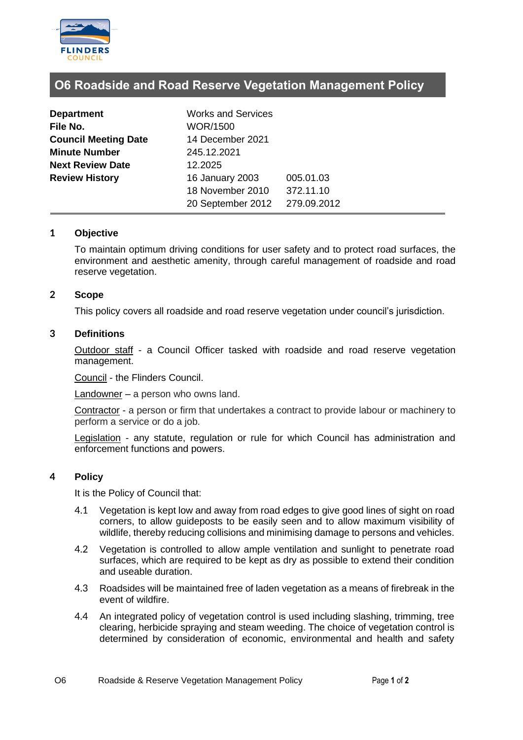

# **O6 Roadside and Road Reserve Vegetation Management Policy**

| <b>Department</b>           | <b>Works and Services</b> |             |  |
|-----------------------------|---------------------------|-------------|--|
| File No.                    | <b>WOR/1500</b>           |             |  |
| <b>Council Meeting Date</b> | 14 December 2021          |             |  |
| <b>Minute Number</b>        | 245.12.2021               |             |  |
| <b>Next Review Date</b>     | 12.2025                   |             |  |
| <b>Review History</b>       | 16 January 2003           | 005.01.03   |  |
|                             | 18 November 2010          | 372.11.10   |  |
|                             | 20 September 2012         | 279.09.2012 |  |

# **1 Objective**

To maintain optimum driving conditions for user safety and to protect road surfaces, the environment and aesthetic amenity, through careful management of roadside and road reserve vegetation.

# **2 Scope**

This policy covers all roadside and road reserve vegetation under council's jurisdiction.

## **3 Definitions**

Outdoor staff - a Council Officer tasked with roadside and road reserve vegetation management.

Council - the Flinders Council.

Landowner – a person who owns land.

Contractor - a person or firm that undertakes a contract to provide labour or machinery to perform a service or do a job.

Legislation - any statute, regulation or rule for which Council has administration and enforcement functions and powers.

#### **4 Policy**

It is the Policy of Council that:

- 4.1 Vegetation is kept low and away from road edges to give good lines of sight on road corners, to allow guideposts to be easily seen and to allow maximum visibility of wildlife, thereby reducing collisions and minimising damage to persons and vehicles.
- 4.2 Vegetation is controlled to allow ample ventilation and sunlight to penetrate road surfaces, which are required to be kept as dry as possible to extend their condition and useable duration.
- 4.3 Roadsides will be maintained free of laden vegetation as a means of firebreak in the event of wildfire.
- 4.4 An integrated policy of vegetation control is used including slashing, trimming, tree clearing, herbicide spraying and steam weeding. The choice of vegetation control is determined by consideration of economic, environmental and health and safety